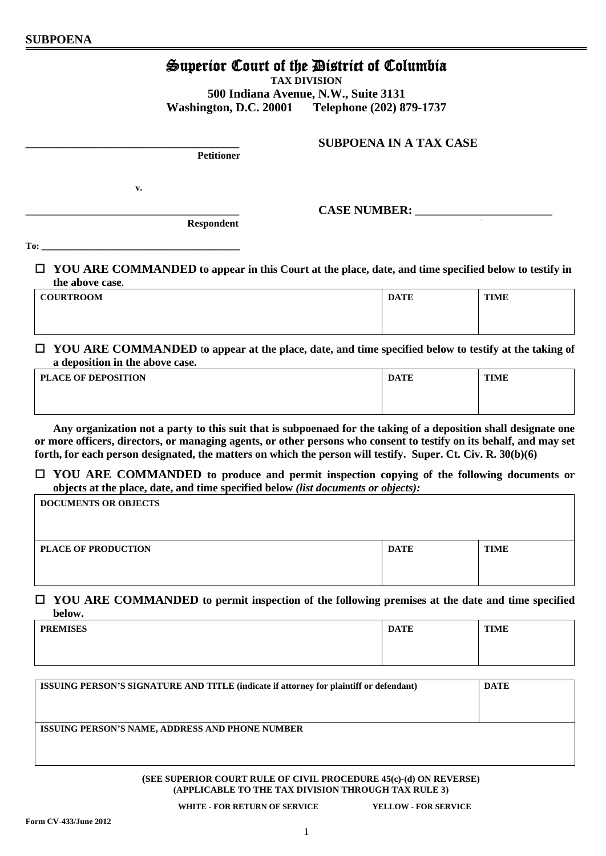# Superior Court of the District of Columbia

**TAX DIVISION**

**500 Indiana Avenue, N.W., Suite 3131 Washington, D.C. 20001 Telephone (202) 879-1737**

 **Petitioner**

 **Respondent**

**v.**

 $\bf{CASE\ NUMBER:}$ 

**\_\_\_\_\_\_\_\_\_\_\_\_\_\_\_\_\_\_\_\_\_\_\_\_\_\_\_\_\_\_\_\_\_\_\_\_\_\_\_\_\_\_ SUBPOENA IN A TAX CASE**

,

**To: \_\_\_\_\_\_\_\_\_\_\_\_\_\_\_\_\_\_\_\_\_\_\_\_\_\_\_\_\_\_\_\_\_\_\_\_\_\_\_**

 **YOU ARE COMMANDED to appear in this Court at the place, date, and time specified below to testify in the above case.**

| <b>COURTROOM</b> | <b>DATE</b> | <b>TIME</b> |
|------------------|-------------|-------------|
|                  |             |             |

 **YOU ARE COMMANDED** t**o appear at the place, date, and time specified below to testify at the taking of a deposition in the above case.**

| <b>PLACE OF DEPOSITION</b> | <b>DATE</b> | <b>TIME</b> |
|----------------------------|-------------|-------------|
|                            |             |             |
|                            |             |             |

**Any organization not a party to this suit that is subpoenaed for the taking of a deposition shall designate one or more officers, directors, or managing agents, or other persons who consent to testify on its behalf, and may set forth, for each person designated, the matters on which the person will testify. Super. Ct. Civ. R. 30(b)(6)**

 **YOU ARE COMMANDED to produce and permit inspection copying of the following documents or objects at the place, date, and time specified below** *(list documents or objects):*

| <b>DOCUMENTS OR OBJECTS</b> |             |             |
|-----------------------------|-------------|-------------|
|                             |             |             |
| <b>PLACE OF PRODUCTION</b>  | <b>DATE</b> | <b>TIME</b> |
|                             |             |             |

## **YOU ARE COMMANDED to permit inspection of the following premises at the date and time specified below.**

| <b>PREMISES</b> | <b>DATE</b> | <b>TIME</b> |
|-----------------|-------------|-------------|
|                 |             |             |

| <b>ISSUING PERSON'S SIGNATURE AND TITLE (indicate if attorney for plaintiff or defendant)</b> | <b>DATE</b> |
|-----------------------------------------------------------------------------------------------|-------------|
| <b>ISSUING PERSON'S NAME, ADDRESS AND PHONE NUMBER</b>                                        |             |

**(SEE SUPERIOR COURT RULE OF CIVIL PROCEDURE 45(c)-(d) ON REVERSE) (APPLICABLE TO THE TAX DIVISION THROUGH TAX RULE 3)**

**WHITE - FOR RETURN OF SERVICE YELLOW - FOR SERVICE**